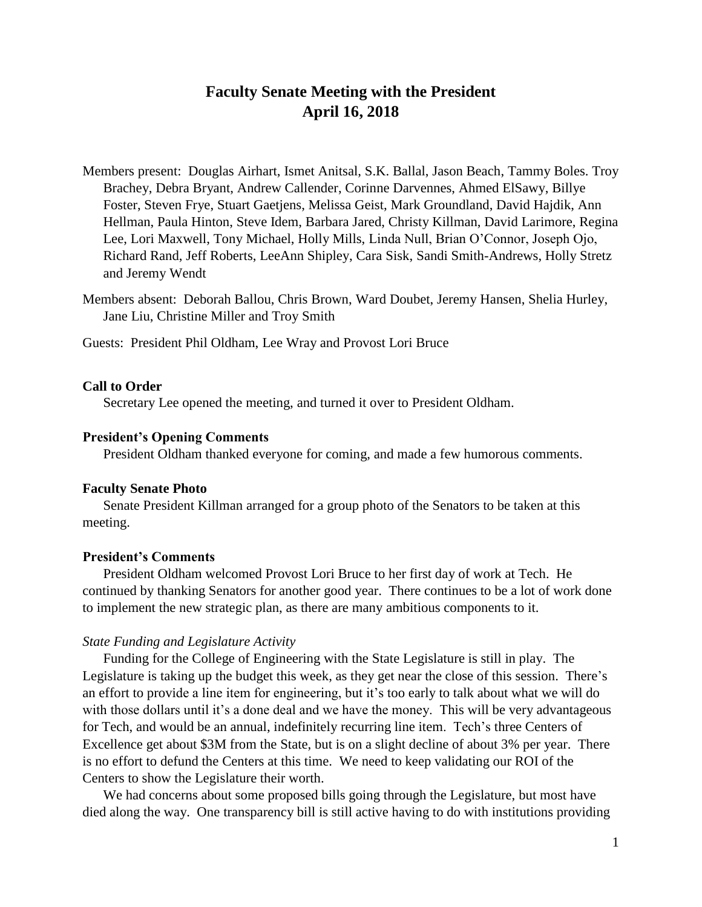# **Faculty Senate Meeting with the President April 16, 2018**

- Members present: Douglas Airhart, Ismet Anitsal, S.K. Ballal, Jason Beach, Tammy Boles. Troy Brachey, Debra Bryant, Andrew Callender, Corinne Darvennes, Ahmed ElSawy, Billye Foster, Steven Frye, Stuart Gaetjens, Melissa Geist, Mark Groundland, David Hajdik, Ann Hellman, Paula Hinton, Steve Idem, Barbara Jared, Christy Killman, David Larimore, Regina Lee, Lori Maxwell, Tony Michael, Holly Mills, Linda Null, Brian O'Connor, Joseph Ojo, Richard Rand, Jeff Roberts, LeeAnn Shipley, Cara Sisk, Sandi Smith-Andrews, Holly Stretz and Jeremy Wendt
- Members absent: Deborah Ballou, Chris Brown, Ward Doubet, Jeremy Hansen, Shelia Hurley, Jane Liu, Christine Miller and Troy Smith
- Guests: President Phil Oldham, Lee Wray and Provost Lori Bruce

#### **Call to Order**

Secretary Lee opened the meeting, and turned it over to President Oldham.

#### **President's Opening Comments**

President Oldham thanked everyone for coming, and made a few humorous comments.

#### **Faculty Senate Photo**

Senate President Killman arranged for a group photo of the Senators to be taken at this meeting.

## **President's Comments**

President Oldham welcomed Provost Lori Bruce to her first day of work at Tech. He continued by thanking Senators for another good year. There continues to be a lot of work done to implement the new strategic plan, as there are many ambitious components to it.

#### *State Funding and Legislature Activity*

Funding for the College of Engineering with the State Legislature is still in play. The Legislature is taking up the budget this week, as they get near the close of this session. There's an effort to provide a line item for engineering, but it's too early to talk about what we will do with those dollars until it's a done deal and we have the money. This will be very advantageous for Tech, and would be an annual, indefinitely recurring line item. Tech's three Centers of Excellence get about \$3M from the State, but is on a slight decline of about 3% per year. There is no effort to defund the Centers at this time. We need to keep validating our ROI of the Centers to show the Legislature their worth.

We had concerns about some proposed bills going through the Legislature, but most have died along the way. One transparency bill is still active having to do with institutions providing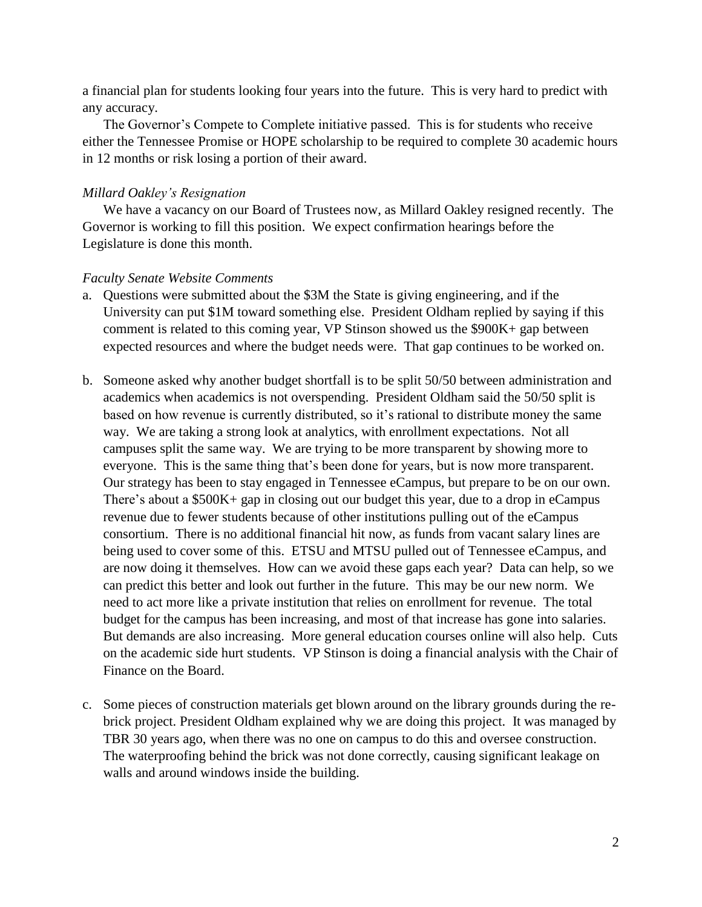a financial plan for students looking four years into the future. This is very hard to predict with any accuracy.

The Governor's Compete to Complete initiative passed. This is for students who receive either the Tennessee Promise or HOPE scholarship to be required to complete 30 academic hours in 12 months or risk losing a portion of their award.

#### *Millard Oakley's Resignation*

We have a vacancy on our Board of Trustees now, as Millard Oakley resigned recently. The Governor is working to fill this position. We expect confirmation hearings before the Legislature is done this month.

### *Faculty Senate Website Comments*

- a. Questions were submitted about the \$3M the State is giving engineering, and if the University can put \$1M toward something else. President Oldham replied by saying if this comment is related to this coming year, VP Stinson showed us the \$900K+ gap between expected resources and where the budget needs were. That gap continues to be worked on.
- b. Someone asked why another budget shortfall is to be split 50/50 between administration and academics when academics is not overspending. President Oldham said the 50/50 split is based on how revenue is currently distributed, so it's rational to distribute money the same way. We are taking a strong look at analytics, with enrollment expectations. Not all campuses split the same way. We are trying to be more transparent by showing more to everyone. This is the same thing that's been done for years, but is now more transparent. Our strategy has been to stay engaged in Tennessee eCampus, but prepare to be on our own. There's about a \$500K+ gap in closing out our budget this year, due to a drop in eCampus revenue due to fewer students because of other institutions pulling out of the eCampus consortium. There is no additional financial hit now, as funds from vacant salary lines are being used to cover some of this. ETSU and MTSU pulled out of Tennessee eCampus, and are now doing it themselves. How can we avoid these gaps each year? Data can help, so we can predict this better and look out further in the future. This may be our new norm. We need to act more like a private institution that relies on enrollment for revenue. The total budget for the campus has been increasing, and most of that increase has gone into salaries. But demands are also increasing. More general education courses online will also help. Cuts on the academic side hurt students. VP Stinson is doing a financial analysis with the Chair of Finance on the Board.
- c. Some pieces of construction materials get blown around on the library grounds during the rebrick project. President Oldham explained why we are doing this project. It was managed by TBR 30 years ago, when there was no one on campus to do this and oversee construction. The waterproofing behind the brick was not done correctly, causing significant leakage on walls and around windows inside the building.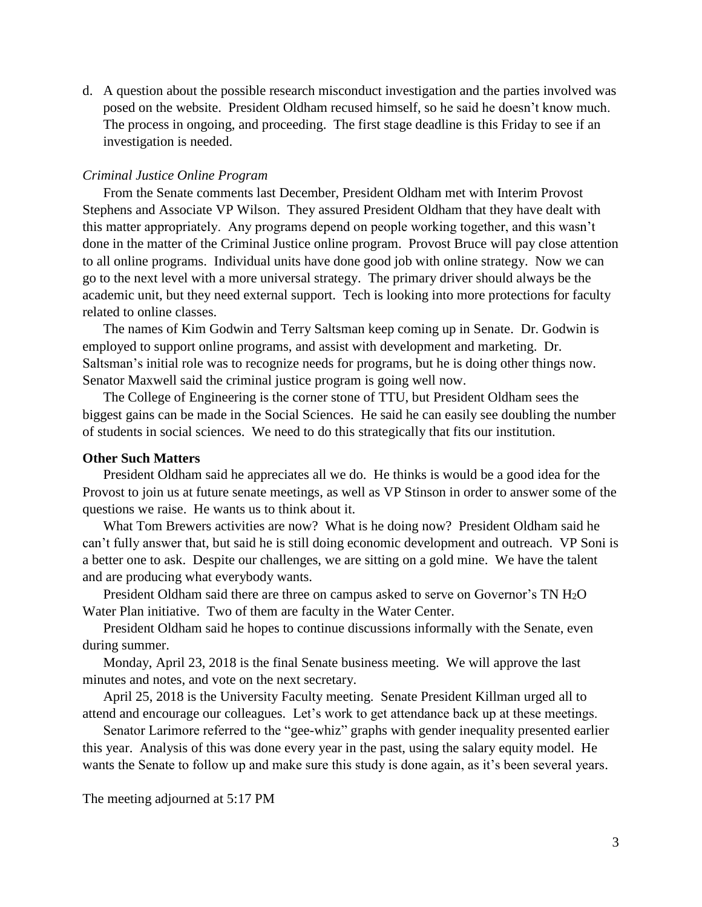d. A question about the possible research misconduct investigation and the parties involved was posed on the website. President Oldham recused himself, so he said he doesn't know much. The process in ongoing, and proceeding. The first stage deadline is this Friday to see if an investigation is needed.

#### *Criminal Justice Online Program*

From the Senate comments last December, President Oldham met with Interim Provost Stephens and Associate VP Wilson. They assured President Oldham that they have dealt with this matter appropriately. Any programs depend on people working together, and this wasn't done in the matter of the Criminal Justice online program. Provost Bruce will pay close attention to all online programs. Individual units have done good job with online strategy. Now we can go to the next level with a more universal strategy. The primary driver should always be the academic unit, but they need external support. Tech is looking into more protections for faculty related to online classes.

The names of Kim Godwin and Terry Saltsman keep coming up in Senate. Dr. Godwin is employed to support online programs, and assist with development and marketing. Dr. Saltsman's initial role was to recognize needs for programs, but he is doing other things now. Senator Maxwell said the criminal justice program is going well now.

The College of Engineering is the corner stone of TTU, but President Oldham sees the biggest gains can be made in the Social Sciences. He said he can easily see doubling the number of students in social sciences. We need to do this strategically that fits our institution.

#### **Other Such Matters**

President Oldham said he appreciates all we do. He thinks is would be a good idea for the Provost to join us at future senate meetings, as well as VP Stinson in order to answer some of the questions we raise. He wants us to think about it.

What Tom Brewers activities are now? What is he doing now? President Oldham said he can't fully answer that, but said he is still doing economic development and outreach. VP Soni is a better one to ask. Despite our challenges, we are sitting on a gold mine. We have the talent and are producing what everybody wants.

President Oldham said there are three on campus asked to serve on Governor's TN H<sub>2</sub>O Water Plan initiative. Two of them are faculty in the Water Center.

President Oldham said he hopes to continue discussions informally with the Senate, even during summer.

Monday, April 23, 2018 is the final Senate business meeting. We will approve the last minutes and notes, and vote on the next secretary.

April 25, 2018 is the University Faculty meeting. Senate President Killman urged all to attend and encourage our colleagues. Let's work to get attendance back up at these meetings.

Senator Larimore referred to the "gee-whiz" graphs with gender inequality presented earlier this year. Analysis of this was done every year in the past, using the salary equity model. He wants the Senate to follow up and make sure this study is done again, as it's been several years.

The meeting adjourned at 5:17 PM